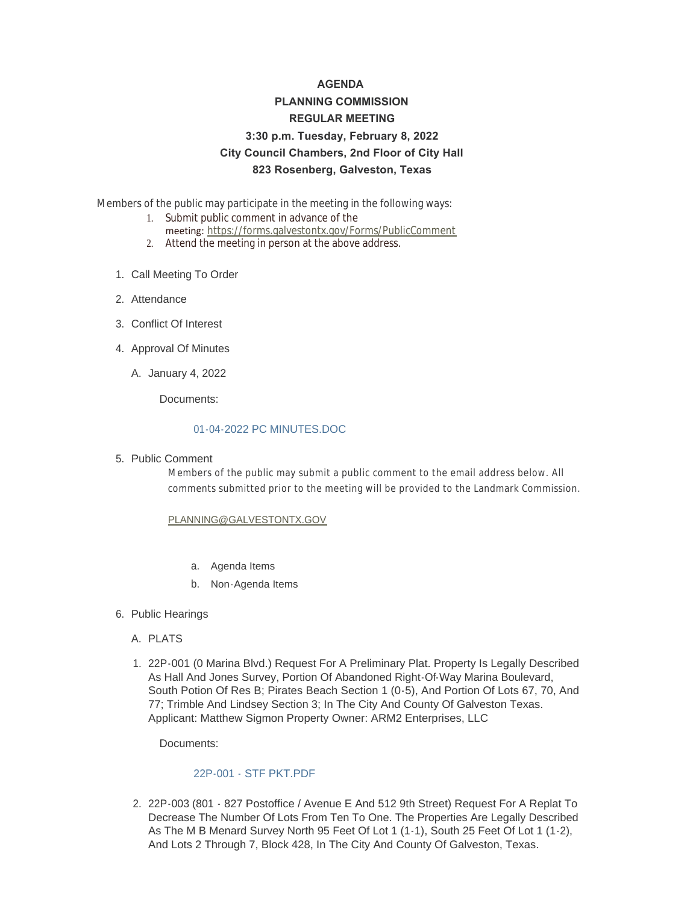# **AGENDA PLANNING COMMISSION REGULAR MEETING 3:30 p.m. Tuesday, February 8, 2022 City Council Chambers, 2nd Floor of City Hall 823 Rosenberg, Galveston, Texas**

Members of the public may participate in the meeting in the following ways:

- 1. Submit public comment in advance of the meeting: <https://forms.galvestontx.gov/Forms/PublicComment>
- 2. Attend the meeting in person at the above address.
- 1. Call Meeting To Order
- 2. Attendance
- Conflict Of Interest 3.
- 4. Approval Of Minutes
	- A. January 4, 2022

Documents:

## [01-04-2022 PC MINUTES.DOC](https://www.galvestontx.gov/AgendaCenter/ViewFile/Item/13683?fileID=31925)

5. Public Comment

Members of the public may submit a public comment to the email address below. All comments submitted prior to the meeting will be provided to the Landmark Commission.

## [PLANNING@GALVESTONTX.GOV](mailto:Planning@Galvestontx.gov)

- a. Agenda Items
- b. Non-Agenda Items
- 6. Public Hearings
	- A. PLATS
	- 22P-001 (0 Marina Blvd.) Request For A Preliminary Plat. Property Is Legally Described 1. As Hall And Jones Survey, Portion Of Abandoned Right-Of-Way Marina Boulevard, South Potion Of Res B; Pirates Beach Section 1 (0-5), And Portion Of Lots 67, 70, And 77; Trimble And Lindsey Section 3; In The City And County Of Galveston Texas. Applicant: Matthew Sigmon Property Owner: ARM2 Enterprises, LLC

Documents:

## [22P-001 - STF PKT.PDF](https://www.galvestontx.gov/AgendaCenter/ViewFile/Item/13684?fileID=31926)

2. 22P-003 (801 - 827 Postoffice / Avenue E And 512 9th Street) Request For A Replat To Decrease The Number Of Lots From Ten To One. The Properties Are Legally Described As The M B Menard Survey North 95 Feet Of Lot 1 (1-1), South 25 Feet Of Lot 1 (1-2), And Lots 2 Through 7, Block 428, In The City And County Of Galveston, Texas.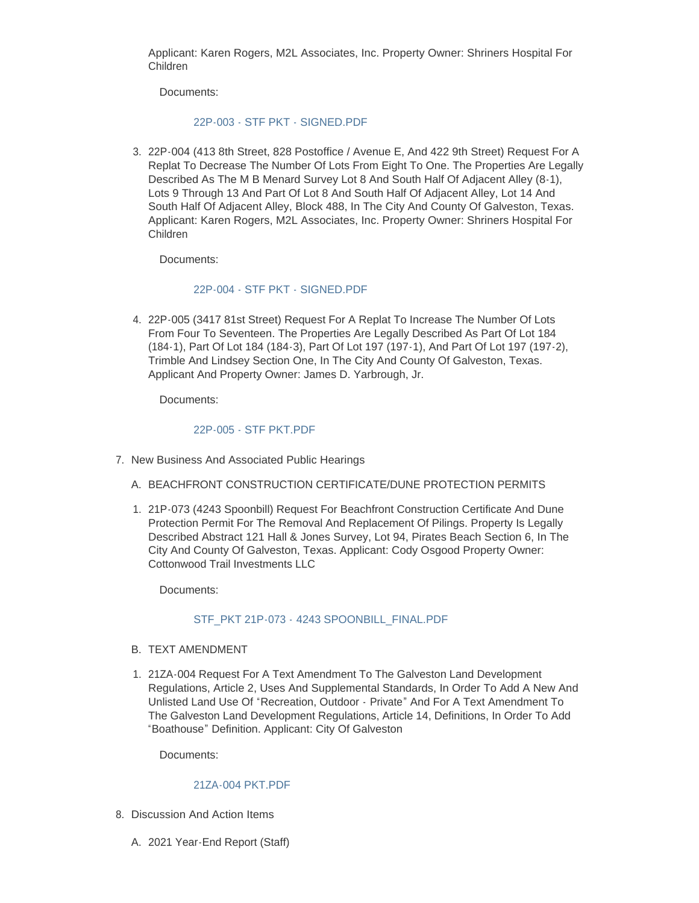Applicant: Karen Rogers, M2L Associates, Inc. Property Owner: Shriners Hospital For Children

Documents:

#### [22P-003 - STF PKT - SIGNED.PDF](https://www.galvestontx.gov/AgendaCenter/ViewFile/Item/13685?fileID=31927)

22P-004 (413 8th Street, 828 Postoffice / Avenue E, And 422 9th Street) Request For A 3. Replat To Decrease The Number Of Lots From Eight To One. The Properties Are Legally Described As The M B Menard Survey Lot 8 And South Half Of Adjacent Alley (8-1), Lots 9 Through 13 And Part Of Lot 8 And South Half Of Adjacent Alley, Lot 14 And South Half Of Adjacent Alley, Block 488, In The City And County Of Galveston, Texas. Applicant: Karen Rogers, M2L Associates, Inc. Property Owner: Shriners Hospital For Children

Documents:

## [22P-004 - STF PKT - SIGNED.PDF](https://www.galvestontx.gov/AgendaCenter/ViewFile/Item/13686?fileID=31928)

4. 22P-005 (3417 81st Street) Request For A Replat To Increase The Number Of Lots From Four To Seventeen. The Properties Are Legally Described As Part Of Lot 184 (184-1), Part Of Lot 184 (184-3), Part Of Lot 197 (197-1), And Part Of Lot 197 (197-2), Trimble And Lindsey Section One, In The City And County Of Galveston, Texas. Applicant And Property Owner: James D. Yarbrough, Jr.

Documents:

## [22P-005 - STF PKT.PDF](https://www.galvestontx.gov/AgendaCenter/ViewFile/Item/13687?fileID=31929)

- 7. New Business And Associated Public Hearings
	- A. BEACHFRONT CONSTRUCTION CERTIFICATE/DUNE PROTECTION PERMITS
	- 21P-073 (4243 Spoonbill) Request For Beachfront Construction Certificate And Dune 1. Protection Permit For The Removal And Replacement Of Pilings. Property Is Legally Described Abstract 121 Hall & Jones Survey, Lot 94, Pirates Beach Section 6, In The City And County Of Galveston, Texas. Applicant: Cody Osgood Property Owner: Cottonwood Trail Investments LLC

Documents:

## STF\_PKT 21P-073 - [4243 SPOONBILL\\_FINAL.PDF](https://www.galvestontx.gov/AgendaCenter/ViewFile/Item/13688?fileID=31930)

- B. TEXT AMENDMENT
- 21ZA-004 Request For A Text Amendment To The Galveston Land Development 1. Regulations, Article 2, Uses And Supplemental Standards, In Order To Add A New And Unlisted Land Use Of "Recreation, Outdoor - Private" And For A Text Amendment To The Galveston Land Development Regulations, Article 14, Definitions, In Order To Add "Boathouse" Definition. Applicant: City Of Galveston

Documents:

#### [21ZA-004 PKT.PDF](https://www.galvestontx.gov/AgendaCenter/ViewFile/Item/13689?fileID=31931)

- 8. Discussion And Action Items
	- 2021 Year-End Report (Staff) A.